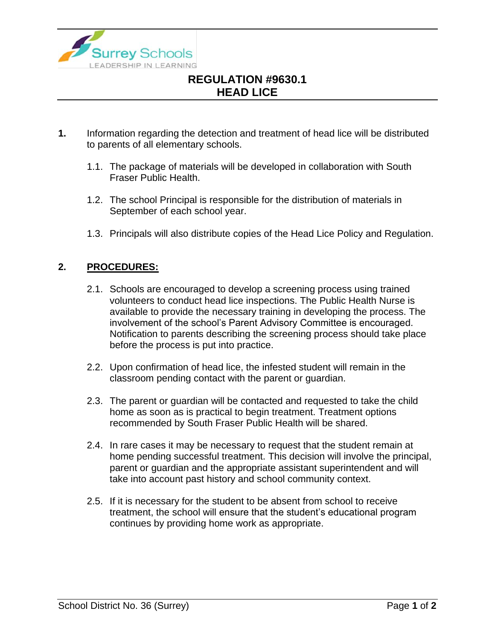

## **REGULATION #9630.1 HEAD LICE**

- **1.** Information regarding the detection and treatment of head lice will be distributed to parents of all elementary schools.
	- 1.1. The package of materials will be developed in collaboration with South Fraser Public Health.
	- 1.2. The school Principal is responsible for the distribution of materials in September of each school year.
	- 1.3. Principals will also distribute copies of the Head Lice Policy and Regulation.

## **2. PROCEDURES:**

- 2.1. Schools are encouraged to develop a screening process using trained volunteers to conduct head lice inspections. The Public Health Nurse is available to provide the necessary training in developing the process. The involvement of the school's Parent Advisory Committee is encouraged. Notification to parents describing the screening process should take place before the process is put into practice.
- 2.2. Upon confirmation of head lice, the infested student will remain in the classroom pending contact with the parent or guardian.
- 2.3. The parent or guardian will be contacted and requested to take the child home as soon as is practical to begin treatment. Treatment options recommended by South Fraser Public Health will be shared.
- 2.4. In rare cases it may be necessary to request that the student remain at home pending successful treatment. This decision will involve the principal, parent or guardian and the appropriate assistant superintendent and will take into account past history and school community context.
- 2.5. If it is necessary for the student to be absent from school to receive treatment, the school will ensure that the student's educational program continues by providing home work as appropriate.